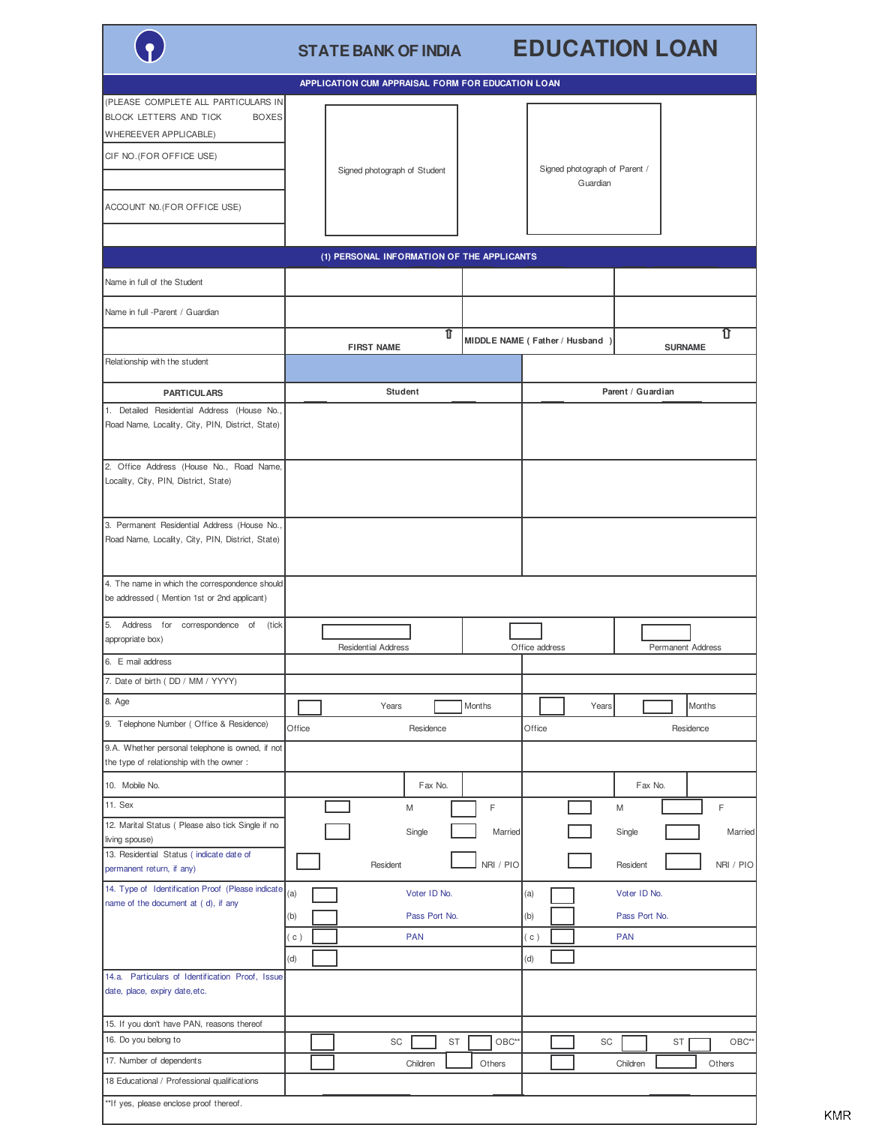|                                                                                                                                                          | <b>STATE BANK OF INDIA</b>                                              | <b>EDUCATION LOAN</b>                                                             |  |  |  |  |
|----------------------------------------------------------------------------------------------------------------------------------------------------------|-------------------------------------------------------------------------|-----------------------------------------------------------------------------------|--|--|--|--|
|                                                                                                                                                          | APPLICATION CUM APPRAISAL FORM FOR EDUCATION LOAN                       |                                                                                   |  |  |  |  |
| (PLEASE COMPLETE ALL PARTICULARS IN<br><b>BLOCK LETTERS AND TICK</b><br><b>BOXES</b><br><b>WHEREEVER APPLICABLE)</b><br>CIF NO. (FOR OFFICE USE)         | Signed photograph of Student                                            | Signed photograph of Parent /<br>Guardian                                         |  |  |  |  |
| ACCOUNT N0. (FOR OFFICE USE)                                                                                                                             |                                                                         |                                                                                   |  |  |  |  |
| (1) PERSONAL INFORMATION OF THE APPLICANTS                                                                                                               |                                                                         |                                                                                   |  |  |  |  |
| Name in full of the Student                                                                                                                              |                                                                         |                                                                                   |  |  |  |  |
| Name in full -Parent / Guardian                                                                                                                          |                                                                         |                                                                                   |  |  |  |  |
|                                                                                                                                                          | $\overline{\mathbb{1}}$<br><b>FIRST NAME</b>                            | ⇧<br>MIDDLE NAME (Father / Husband)<br><b>SURNAME</b>                             |  |  |  |  |
| Relationship with the student                                                                                                                            |                                                                         |                                                                                   |  |  |  |  |
| <b>PARTICULARS</b>                                                                                                                                       | <b>Student</b>                                                          | Parent / Guardian                                                                 |  |  |  |  |
| 1. Detailed Residential Address (House No.,<br>Road Name, Locality, City, PIN, District, State)                                                          |                                                                         |                                                                                   |  |  |  |  |
| 2. Office Address (House No., Road Name,<br>Locality, City, PIN, District, State)                                                                        |                                                                         |                                                                                   |  |  |  |  |
| 3. Permanent Residential Address (House No.,<br>Road Name, Locality, City, PIN, District, State)                                                         |                                                                         |                                                                                   |  |  |  |  |
| 4. The name in which the correspondence should<br>be addressed (Mention 1st or 2nd applicant)                                                            |                                                                         |                                                                                   |  |  |  |  |
| 5. Address for<br>correspondence of<br>(tick<br>appropriate box)                                                                                         | <b>Residential Address</b>                                              | Office address<br><b>Permanent Address</b>                                        |  |  |  |  |
| 6. E mail address                                                                                                                                        |                                                                         |                                                                                   |  |  |  |  |
| 7. Date of birth (DD / MM / YYYY)<br>8. Age                                                                                                              |                                                                         |                                                                                   |  |  |  |  |
|                                                                                                                                                          | Years<br>Months                                                         | Months<br>Years                                                                   |  |  |  |  |
| 9. Telephone Number (Office & Residence)                                                                                                                 | Office<br>Residence                                                     | Office<br>Residence                                                               |  |  |  |  |
| 9.A. Whether personal telephone is owned, if not<br>the type of relationship with the owner :                                                            |                                                                         |                                                                                   |  |  |  |  |
| 10. Mobile No.                                                                                                                                           | Fax No.                                                                 | Fax No.                                                                           |  |  |  |  |
| 11. Sex<br>12. Marital Status ( Please also tick Single if no<br>living spouse)<br>13. Residential Status (indicate date of<br>permanent return, if any) | M<br>Single<br>Resident                                                 | F<br>F<br>M<br>Single<br>Married<br>Married<br>NRI / PIO<br>Resident<br>NRI / PIO |  |  |  |  |
| 14. Type of Identification Proof (Please indicate<br>name of the document at (d), if any                                                                 | (a)<br>Voter ID No.<br>Pass Port No.<br>(b)<br><b>PAN</b><br>(c)<br>(d) | Voter ID No.<br>(a)<br>(b)<br>Pass Port No.<br>(c)<br><b>PAN</b><br>(d)           |  |  |  |  |
| 14.a. Particulars of Identification Proof, Issue<br>date, place, expiry date, etc.                                                                       |                                                                         |                                                                                   |  |  |  |  |
| 15. If you don't have PAN, reasons thereof<br>16. Do you belong to                                                                                       |                                                                         |                                                                                   |  |  |  |  |
| 17. Number of dependents                                                                                                                                 | SC<br>ST                                                                | OBC**<br>SC<br>OBC*<br>ST                                                         |  |  |  |  |
| 18 Educational / Professional qualifications                                                                                                             | Children                                                                | Others<br>Children<br>Others                                                      |  |  |  |  |
| **If yes, please enclose proof thereof.                                                                                                                  |                                                                         |                                                                                   |  |  |  |  |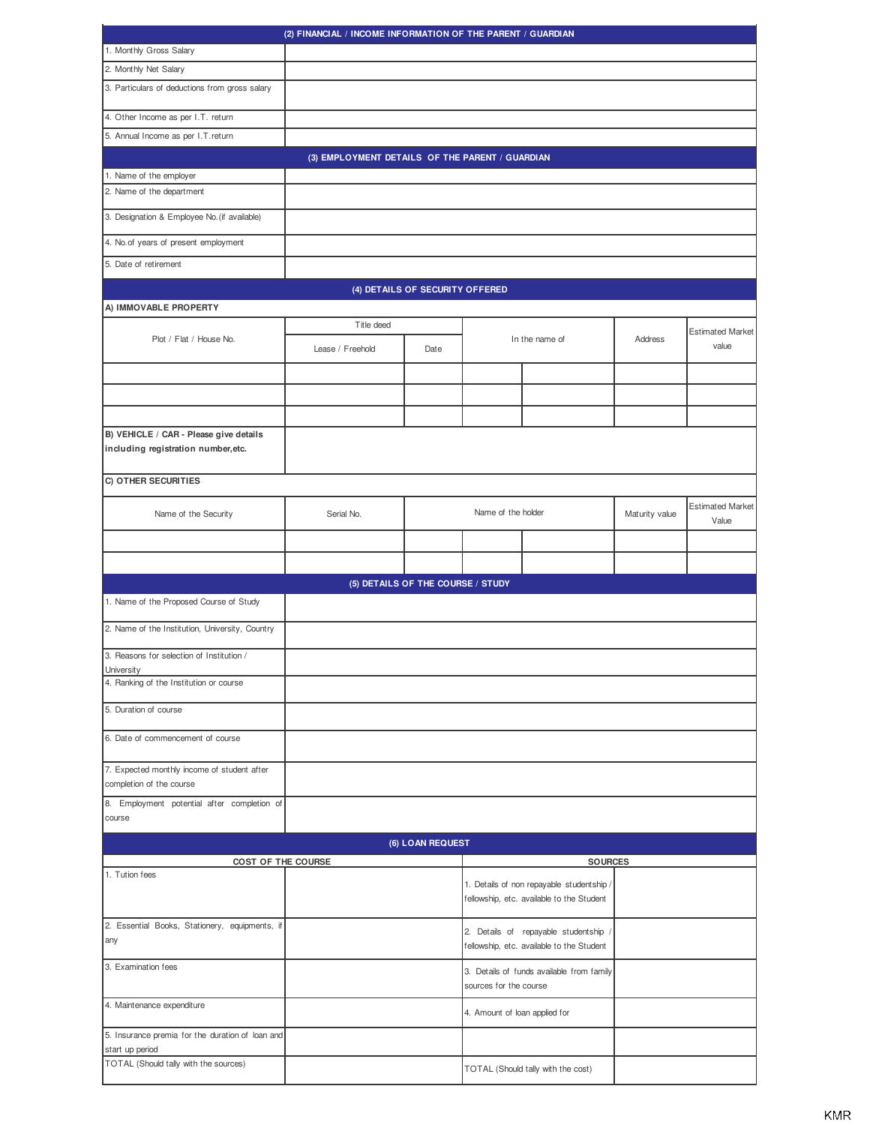| (2) FINANCIAL / INCOME INFORMATION OF THE PARENT / GUARDIAN                   |                                                                     |                                                                                        |                    |                                                                                  |                |                                  |  |
|-------------------------------------------------------------------------------|---------------------------------------------------------------------|----------------------------------------------------------------------------------------|--------------------|----------------------------------------------------------------------------------|----------------|----------------------------------|--|
| 1. Monthly Gross Salary                                                       |                                                                     |                                                                                        |                    |                                                                                  |                |                                  |  |
| 2. Monthly Net Salary                                                         |                                                                     |                                                                                        |                    |                                                                                  |                |                                  |  |
| 3. Particulars of deductions from gross salary                                |                                                                     |                                                                                        |                    |                                                                                  |                |                                  |  |
| 4. Other Income as per I.T. return                                            |                                                                     |                                                                                        |                    |                                                                                  |                |                                  |  |
| 5. Annual Income as per I.T.return                                            |                                                                     |                                                                                        |                    |                                                                                  |                |                                  |  |
|                                                                               | (3) EMPLOYMENT DETAILS OF THE PARENT / GUARDIAN                     |                                                                                        |                    |                                                                                  |                |                                  |  |
| 1. Name of the employer                                                       |                                                                     |                                                                                        |                    |                                                                                  |                |                                  |  |
| 2. Name of the department                                                     |                                                                     |                                                                                        |                    |                                                                                  |                |                                  |  |
| 3. Designation & Employee No. (if available)                                  |                                                                     |                                                                                        |                    |                                                                                  |                |                                  |  |
| 4. No. of years of present employment                                         |                                                                     |                                                                                        |                    |                                                                                  |                |                                  |  |
| 5. Date of retirement                                                         |                                                                     |                                                                                        |                    |                                                                                  |                |                                  |  |
|                                                                               |                                                                     | (4) DETAILS OF SECURITY OFFERED                                                        |                    |                                                                                  |                |                                  |  |
| A) IMMOVABLE PROPERTY                                                         |                                                                     |                                                                                        |                    |                                                                                  |                |                                  |  |
| Plot / Flat / House No.                                                       | Title deed                                                          |                                                                                        |                    | In the name of                                                                   | Address        | <b>Estimated Market</b>          |  |
|                                                                               | Lease / Freehold                                                    | Date                                                                                   |                    |                                                                                  |                | value                            |  |
|                                                                               |                                                                     |                                                                                        |                    |                                                                                  |                |                                  |  |
|                                                                               |                                                                     |                                                                                        |                    |                                                                                  |                |                                  |  |
|                                                                               |                                                                     |                                                                                        |                    |                                                                                  |                |                                  |  |
| B) VEHICLE / CAR - Please give details<br>including registration number, etc. |                                                                     |                                                                                        |                    |                                                                                  |                |                                  |  |
| C) OTHER SECURITIES                                                           |                                                                     |                                                                                        |                    |                                                                                  |                |                                  |  |
| Name of the Security                                                          | Serial No.                                                          |                                                                                        | Name of the holder |                                                                                  | Maturity value | <b>Estimated Market</b><br>Value |  |
|                                                                               |                                                                     |                                                                                        |                    |                                                                                  |                |                                  |  |
|                                                                               |                                                                     |                                                                                        |                    |                                                                                  |                |                                  |  |
|                                                                               | (5) DETAILS OF THE COURSE / STUDY                                   |                                                                                        |                    |                                                                                  |                |                                  |  |
| 1. Name of the Proposed Course of Study                                       |                                                                     |                                                                                        |                    |                                                                                  |                |                                  |  |
| 2. Name of the Institution, University, Country                               |                                                                     |                                                                                        |                    |                                                                                  |                |                                  |  |
| 3. Reasons for selection of Institution /<br>University                       |                                                                     |                                                                                        |                    |                                                                                  |                |                                  |  |
| 4. Ranking of the Institution or course                                       |                                                                     |                                                                                        |                    |                                                                                  |                |                                  |  |
| 5. Duration of course                                                         |                                                                     |                                                                                        |                    |                                                                                  |                |                                  |  |
| 6. Date of commencement of course                                             |                                                                     |                                                                                        |                    |                                                                                  |                |                                  |  |
| 7. Expected monthly income of student after<br>completion of the course       |                                                                     |                                                                                        |                    |                                                                                  |                |                                  |  |
| 8. Employment potential after completion of<br>course                         |                                                                     |                                                                                        |                    |                                                                                  |                |                                  |  |
|                                                                               |                                                                     | (6) LOAN REQUEST                                                                       |                    |                                                                                  |                |                                  |  |
|                                                                               | COST OF THE COURSE<br><b>SOURCES</b>                                |                                                                                        |                    |                                                                                  |                |                                  |  |
| 1. Tution fees                                                                |                                                                     | 1. Details of non repayable studentship /<br>fellowship, etc. available to the Student |                    |                                                                                  |                |                                  |  |
| 2. Essential Books, Stationery, equipments, if<br>any                         |                                                                     |                                                                                        |                    | 2. Details of repayable studentship<br>fellowship, etc. available to the Student |                |                                  |  |
| 3. Examination fees                                                           | 3. Details of funds available from family<br>sources for the course |                                                                                        |                    |                                                                                  |                |                                  |  |
| 4. Maintenance expenditure                                                    | 4. Amount of loan applied for                                       |                                                                                        |                    |                                                                                  |                |                                  |  |
| 5. Insurance premia for the duration of loan and<br>start up period           |                                                                     |                                                                                        |                    |                                                                                  |                |                                  |  |
| TOTAL (Should tally with the sources)                                         |                                                                     | TOTAL (Should tally with the cost)                                                     |                    |                                                                                  |                |                                  |  |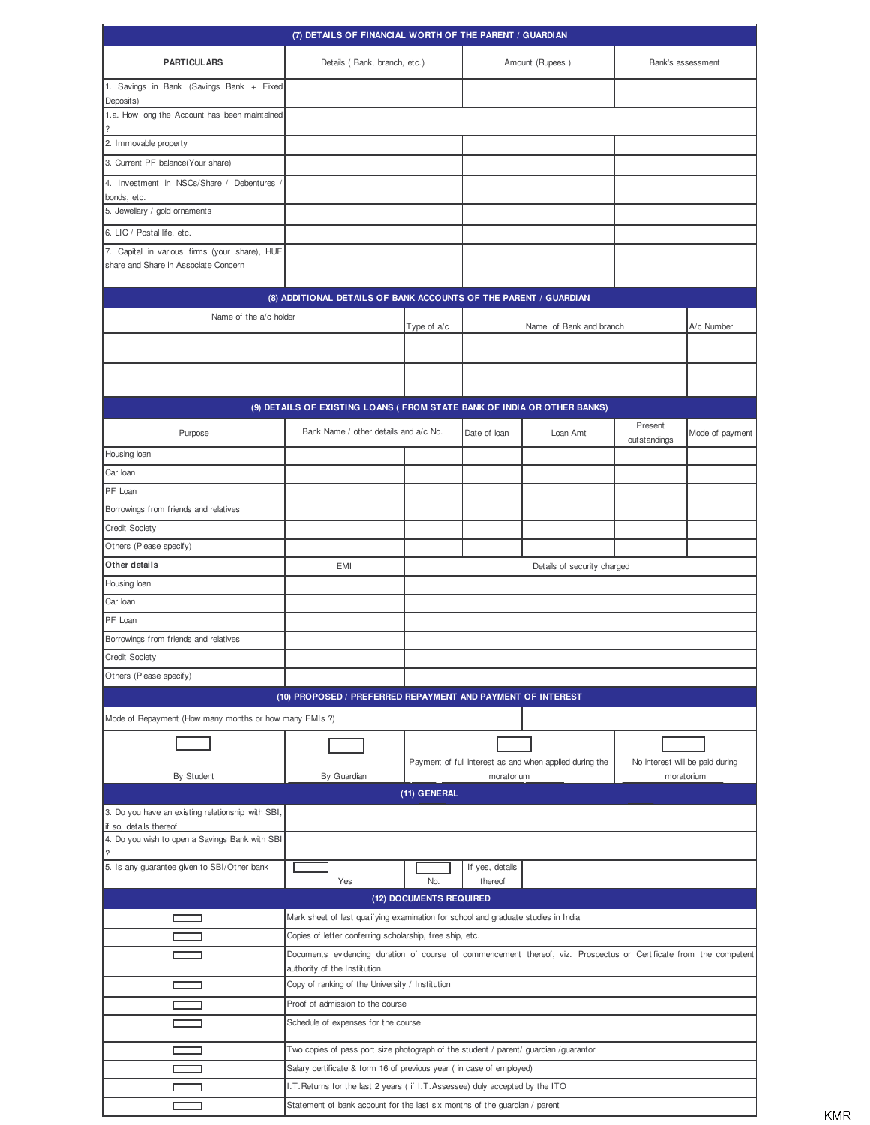| (7) DETAILS OF FINANCIAL WORTH OF THE PARENT / GUARDIAN                                                       |                                                                                                                                                     |               |                 |                                                         |                   |                                 |  |
|---------------------------------------------------------------------------------------------------------------|-----------------------------------------------------------------------------------------------------------------------------------------------------|---------------|-----------------|---------------------------------------------------------|-------------------|---------------------------------|--|
| <b>PARTICULARS</b>                                                                                            | Details (Bank, branch, etc.)                                                                                                                        |               |                 | Amount (Rupees)                                         | Bank's assessment |                                 |  |
| 1. Savings in Bank (Savings Bank + Fixed<br>Deposits)                                                         |                                                                                                                                                     |               |                 |                                                         |                   |                                 |  |
| 1.a. How long the Account has been maintained                                                                 |                                                                                                                                                     |               |                 |                                                         |                   |                                 |  |
| 2. Immovable property                                                                                         |                                                                                                                                                     |               |                 |                                                         |                   |                                 |  |
| 3. Current PF balance(Your share)                                                                             |                                                                                                                                                     |               |                 |                                                         |                   |                                 |  |
| 4. Investment in NSCs/Share / Debentures /                                                                    |                                                                                                                                                     |               |                 |                                                         |                   |                                 |  |
| bonds, etc.                                                                                                   |                                                                                                                                                     |               |                 |                                                         |                   |                                 |  |
| 5. Jewellary / gold ornaments                                                                                 |                                                                                                                                                     |               |                 |                                                         |                   |                                 |  |
| 6. LIC / Postal life, etc.                                                                                    |                                                                                                                                                     |               |                 |                                                         |                   |                                 |  |
| 7. Capital in various firms (your share), HUF<br>share and Share in Associate Concern                         |                                                                                                                                                     |               |                 |                                                         |                   |                                 |  |
|                                                                                                               | (8) ADDITIONAL DETAILS OF BANK ACCOUNTS OF THE PARENT / GUARDIAN                                                                                    |               |                 |                                                         |                   |                                 |  |
| Name of the a/c holder                                                                                        |                                                                                                                                                     |               |                 |                                                         |                   |                                 |  |
|                                                                                                               |                                                                                                                                                     | Type of $a/c$ |                 | Name of Bank and branch                                 |                   | A/c Number                      |  |
|                                                                                                               |                                                                                                                                                     |               |                 |                                                         |                   |                                 |  |
|                                                                                                               |                                                                                                                                                     |               |                 |                                                         |                   |                                 |  |
|                                                                                                               |                                                                                                                                                     |               |                 |                                                         |                   |                                 |  |
|                                                                                                               | (9) DETAILS OF EXISTING LOANS ( FROM STATE BANK OF INDIA OR OTHER BANKS)                                                                            |               |                 |                                                         | Present           |                                 |  |
| Purpose                                                                                                       | Bank Name / other details and a/c No.                                                                                                               |               | Date of loan    | Loan Amt                                                | outstandings      | Mode of payment                 |  |
| Housing loan                                                                                                  |                                                                                                                                                     |               |                 |                                                         |                   |                                 |  |
| Car loan                                                                                                      |                                                                                                                                                     |               |                 |                                                         |                   |                                 |  |
| PF Loan                                                                                                       |                                                                                                                                                     |               |                 |                                                         |                   |                                 |  |
| Borrowings from friends and relatives                                                                         |                                                                                                                                                     |               |                 |                                                         |                   |                                 |  |
| Credit Society                                                                                                |                                                                                                                                                     |               |                 |                                                         |                   |                                 |  |
| Others (Please specify)                                                                                       |                                                                                                                                                     |               |                 |                                                         |                   |                                 |  |
| Other details                                                                                                 | EMI                                                                                                                                                 |               |                 | Details of security charged                             |                   |                                 |  |
| Housing loan                                                                                                  |                                                                                                                                                     |               |                 |                                                         |                   |                                 |  |
| Car loan                                                                                                      |                                                                                                                                                     |               |                 |                                                         |                   |                                 |  |
| PF Loan                                                                                                       |                                                                                                                                                     |               |                 |                                                         |                   |                                 |  |
| Borrowings from friends and relatives                                                                         |                                                                                                                                                     |               |                 |                                                         |                   |                                 |  |
| Credit Society                                                                                                |                                                                                                                                                     |               |                 |                                                         |                   |                                 |  |
| Others (Please specify)                                                                                       |                                                                                                                                                     |               |                 |                                                         |                   |                                 |  |
| (10) PROPOSED / PREFERRED REPAYMENT AND PAYMENT OF INTEREST                                                   |                                                                                                                                                     |               |                 |                                                         |                   |                                 |  |
| Mode of Repayment (How many months or how many EMIs ?)                                                        |                                                                                                                                                     |               |                 |                                                         |                   |                                 |  |
|                                                                                                               |                                                                                                                                                     |               |                 |                                                         |                   |                                 |  |
|                                                                                                               |                                                                                                                                                     |               |                 |                                                         |                   |                                 |  |
|                                                                                                               |                                                                                                                                                     |               |                 | Payment of full interest as and when applied during the |                   | No interest will be paid during |  |
| By Student                                                                                                    | By Guardian                                                                                                                                         | (11) GENERAL  | moratorium      |                                                         |                   | moratorium                      |  |
| 3. Do you have an existing relationship with SBI,                                                             |                                                                                                                                                     |               |                 |                                                         |                   |                                 |  |
| if so, details thereof                                                                                        |                                                                                                                                                     |               |                 |                                                         |                   |                                 |  |
| 4. Do you wish to open a Savings Bank with SBI                                                                |                                                                                                                                                     |               |                 |                                                         |                   |                                 |  |
| 5. Is any guarantee given to SBI/Other bank                                                                   |                                                                                                                                                     |               | If yes, details |                                                         |                   |                                 |  |
|                                                                                                               | Yes                                                                                                                                                 | No.           | thereof         |                                                         |                   |                                 |  |
| (12) DOCUMENTS REQUIRED<br>Mark sheet of last qualifying examination for school and graduate studies in India |                                                                                                                                                     |               |                 |                                                         |                   |                                 |  |
|                                                                                                               |                                                                                                                                                     |               |                 |                                                         |                   |                                 |  |
|                                                                                                               | Copies of letter conferring scholarship, free ship, etc.                                                                                            |               |                 |                                                         |                   |                                 |  |
|                                                                                                               | Documents evidencing duration of course of commencement thereof, viz. Prospectus or Certificate from the competent<br>authority of the Institution. |               |                 |                                                         |                   |                                 |  |
|                                                                                                               | Copy of ranking of the University / Institution                                                                                                     |               |                 |                                                         |                   |                                 |  |
|                                                                                                               | Proof of admission to the course                                                                                                                    |               |                 |                                                         |                   |                                 |  |
|                                                                                                               | Schedule of expenses for the course                                                                                                                 |               |                 |                                                         |                   |                                 |  |
|                                                                                                               |                                                                                                                                                     |               |                 |                                                         |                   |                                 |  |
|                                                                                                               | Two copies of pass port size photograph of the student / parent/ guardian / guarantor                                                               |               |                 |                                                         |                   |                                 |  |
|                                                                                                               | Salary certificate & form 16 of previous year (in case of employed)                                                                                 |               |                 |                                                         |                   |                                 |  |
|                                                                                                               | I.T. Returns for the last 2 years (if I.T. Assessee) duly accepted by the ITO                                                                       |               |                 |                                                         |                   |                                 |  |
|                                                                                                               | Statement of bank account for the last six months of the guardian / parent                                                                          |               |                 |                                                         |                   |                                 |  |